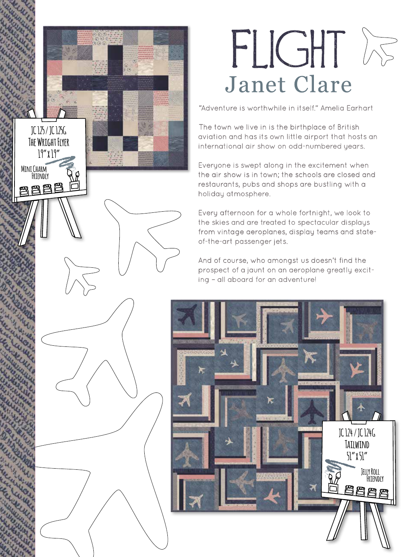## FLIGHT IS Janet Clare

"Adventure is worthwhile in itself." Amelia Earhart

The town we live in is the birthplace of British aviation and has its own little airport that hosts an international air show on odd-numbered years.

**JC 125 / JC 125G**

**The Wright Flyer 19" x 19"**

 **Mini Charm Friendly** Everyone is swept along in the excitement when the air show is in town; the schools are closed and restaurants, pubs and shops are bustling with a holiday atmosphere.

Every afternoon for a whole fortnight, we look to the skies and are treated to spectacular displays from vintage aeroplanes, display teams and stateof-the-art passenger jets.

And of course, who amongst us doesn't find the prospect of a jaunt on an aeroplane greatly exciting – all aboard for an adventure!

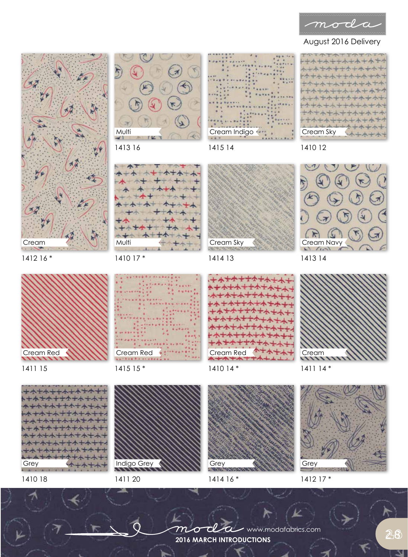

## August 2016 Delivery



1414 16 \*

+++++++++++ 小士木 + + + + + + + Cream Sky 1410 12





1411 14 \*

Grey

1412 17 \*

1410 18

1411 20

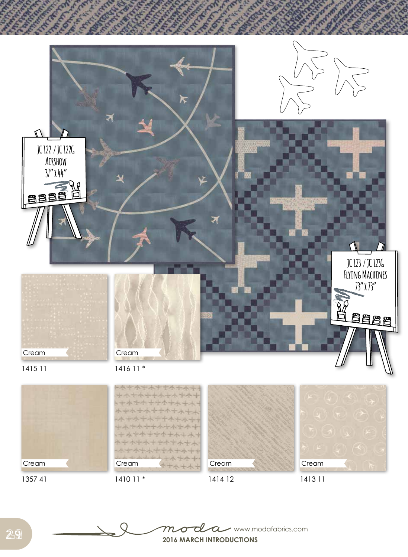